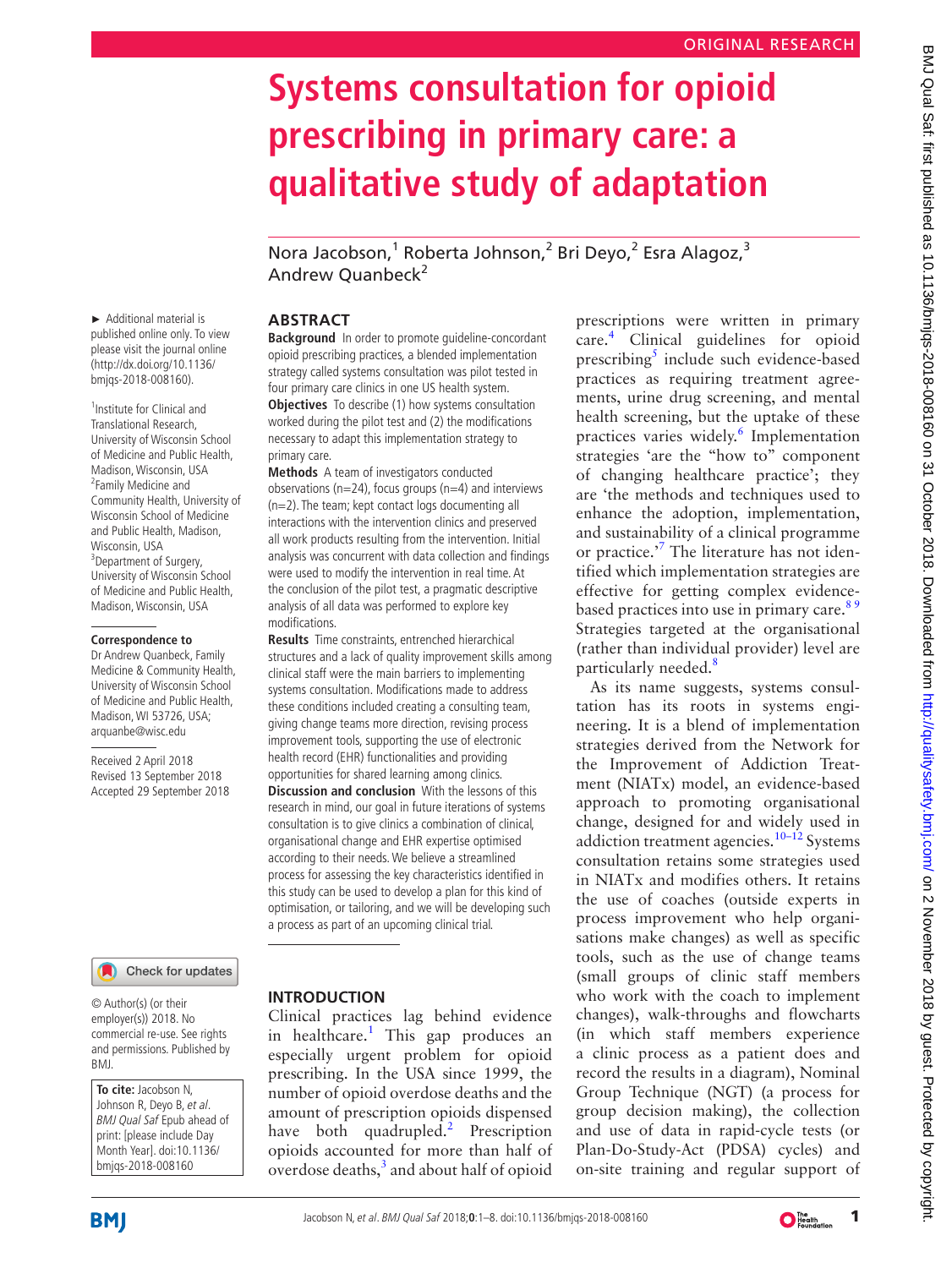# **Systems consultation for opioid prescribing in primary care: a qualitative study of adaptation**

Nora Jacobson,<sup>1</sup> Roberta Johnson,<sup>2</sup> Bri Deyo,<sup>2</sup> Esra Alagoz,<sup>3</sup> Andrew Ouanbeck<sup>2</sup>

► Additional material is

published online only. To view please visit the journal online (http://dx.doi.org/10.1136/ bmjqs-2018-008160).

<sup>1</sup> Institute for Clinical and Translational Research, University of Wisconsin School of Medicine and Public Health, Madison, Wisconsin, USA <sup>2</sup> Family Medicine and Community Health, University of Wisconsin School of Medicine and Public Health, Madison, Wisconsin, USA <sup>3</sup>Department of Surgery, University of Wisconsin School of Medicine and Public Health, Madison, Wisconsin, USA

#### **Correspondence to**

Dr Andrew Quanbeck, Family Medicine & Community Health, University of Wisconsin School of Medicine and Public Health, Madison, WI 53726, USA; arquanbe@wisc.edu

Received 2 April 2018 Revised 13 September 2018 Accepted 29 September 2018

### Check for updates

© Author(s) (or their employer(s)) 2018. No commercial re-use. See rights and permissions. Published by BMJ.

**To cite:** Jacobson N, Johnson R, Deyo B, et al. BMJ Qual Saf Epub ahead of print: [please include Day Month Year]. doi:10.1136/ bmjqs-2018-008160

## **Abstract**

**Background** In order to promote quideline-concordant opioid prescribing practices, a blended implementation strategy called systems consultation was pilot tested in four primary care clinics in one US health system. **Objectives** To describe (1) how systems consultation worked during the pilot test and (2) the modifications necessary to adapt this implementation strategy to primary care.

**Methods** A team of investigators conducted observations ( $n=24$ ), focus groups ( $n=4$ ) and interviews (n=2). The team; kept contact logs documenting all interactions with the intervention clinics and preserved all work products resulting from the intervention. Initial analysis was concurrent with data collection and findings were used to modify the intervention in real time. At the conclusion of the pilot test, a pragmatic descriptive analysis of all data was performed to explore key modifications.

**Results** Time constraints, entrenched hierarchical structures and a lack of quality improvement skills among clinical staff were the main barriers to implementing systems consultation. Modifications made to address these conditions included creating a consulting team, giving change teams more direction, revising process improvement tools, supporting the use of electronic health record (EHR) functionalities and providing opportunities for shared learning among clinics. **Discussion and conclusion** With the lessons of this research in mind, our goal in future iterations of systems consultation is to give clinics a combination of clinical, organisational change and EHR expertise optimised according to their needs. We believe a streamlined process for assessing the key characteristics identified in this study can be used to develop a plan for this kind of optimisation, or tailoring, and we will be developing such a process as part of an upcoming clinical trial.

# **Introduction**

Clinical practices lag behind evidence in healthcare.<sup>[1](#page-6-0)</sup> This gap produces an especially urgent problem for opioid prescribing. In the USA since 1999, the number of opioid overdose deaths and the amount of prescription opioids dispensed have both quadrupled.<sup>[2](#page-6-1)</sup> Prescription opioids accounted for more than half of overdose deaths, $3$  and about half of opioid prescriptions were written in primary care.[4](#page-6-3) Clinical guidelines for opioid prescribing<sup>[5](#page-6-4)</sup> include such evidence-based practices as requiring treatment agreements, urine drug screening, and mental health screening, but the uptake of these practices varies widely.<sup>[6](#page-6-5)</sup> Implementation strategies 'are the "how to" component of changing healthcare practice'; they are 'the methods and techniques used to enhance the adoption, implementation, and sustainability of a clinical programme or practice.'<sup>7</sup> The literature has not identified which implementation strategies are effective for getting complex evidencebased practices into use in primary care.<sup>89</sup> Strategies targeted at the organisational (rather than individual provider) level are particularly needed.<sup>[8](#page-6-7)</sup>

As its name suggests, systems consultation has its roots in systems engineering. It is a blend of implementation strategies derived from the Network for the Improvement of Addiction Treatment (NIATx) model, an evidence-based approach to promoting organisational change, designed for and widely used in addiction treatment agencies.<sup>10–12</sup> Systems consultation retains some strategies used in NIATx and modifies others. It retains the use of coaches (outside experts in process improvement who help organisations make changes) as well as specific tools, such as the use of change teams (small groups of clinic staff members who work with the coach to implement changes), walk-throughs and flowcharts (in which staff members experience a clinic process as a patient does and record the results in a diagram), Nominal Group Technique (NGT) (a process for group decision making), the collection and use of data in rapid-cycle tests (or Plan-Do-Study-Act (PDSA) cycles) and on-site training and regular support of

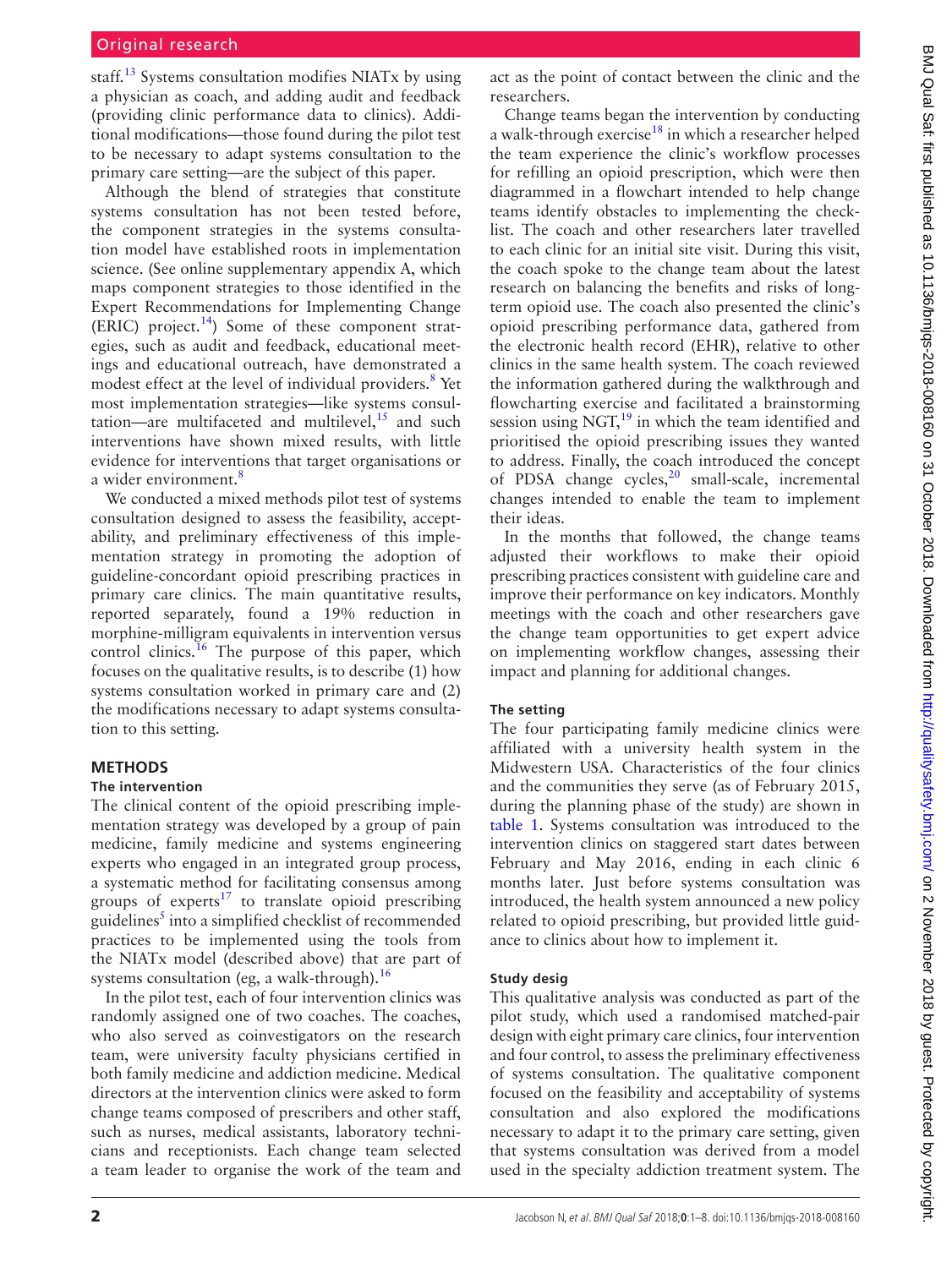## Original research

staff.<sup>[13](#page-7-0)</sup> Systems consultation modifies NIATx by using a physician as coach, and adding audit and feedback (providing clinic performance data to clinics). Additional modifications—those found during the pilot test to be necessary to adapt systems consultation to the primary care setting—are the subject of this paper.

Although the blend of strategies that constitute systems consultation has not been tested before, the component strategies in the systems consultation model have established roots in implementation science. (See [online supplementary appendix A](https://dx.doi.org/10.1136/bmjqs-2018-008160), which maps component strategies to those identified in the Expert Recommendations for Implementing Change  $(ERIC)$  project.<sup>14</sup>) Some of these component strategies, such as audit and feedback, educational meetings and educational outreach, have demonstrated a modest effect at the level of individual providers.<sup>8</sup> Yet most implementation strategies—like systems consultation—are multifaceted and multilevel, $15$  and such interventions have shown mixed results, with little evidence for interventions that target organisations or a wider environment.<sup>8</sup>

We conducted a mixed methods pilot test of systems consultation designed to assess the feasibility, acceptability, and preliminary effectiveness of this implementation strategy in promoting the adoption of guideline-concordant opioid prescribing practices in primary care clinics. The main quantitative results, reported separately, found a 19% reduction in morphine-milligram equivalents in intervention versus control clinics.<sup>16</sup> The purpose of this paper, which focuses on the qualitative results, is to describe (1) how systems consultation worked in primary care and (2) the modifications necessary to adapt systems consultation to this setting.

## **Methods**

### **The intervention**

The clinical content of the opioid prescribing implementation strategy was developed by a group of pain medicine, family medicine and systems engineering experts who engaged in an integrated group process, a systematic method for facilitating consensus among groups of experts $17$  to translate opioid prescribing guidelines<sup>[5](#page-6-4)</sup> into a simplified checklist of recommended practices to be implemented using the tools from the NIATx model (described above) that are part of systems consultation (eg, a walk-through).<sup>16</sup>

In the pilot test, each of four intervention clinics was randomly assigned one of two coaches. The coaches, who also served as coinvestigators on the research team, were university faculty physicians certified in both family medicine and addiction medicine. Medical directors at the intervention clinics were asked to form change teams composed of prescribers and other staff, such as nurses, medical assistants, laboratory technicians and receptionists. Each change team selected a team leader to organise the work of the team and

act as the point of contact between the clinic and the researchers.

Change teams began the intervention by conducting a walk-through  $exercise<sup>18</sup>$  $exercise<sup>18</sup>$  $exercise<sup>18</sup>$  in which a researcher helped the team experience the clinic's workflow processes for refilling an opioid prescription, which were then diagrammed in a flowchart intended to help change teams identify obstacles to implementing the checklist. The coach and other researchers later travelled to each clinic for an initial site visit. During this visit, the coach spoke to the change team about the latest research on balancing the benefits and risks of longterm opioid use. The coach also presented the clinic's opioid prescribing performance data, gathered from the electronic health record (EHR), relative to other clinics in the same health system. The coach reviewed the information gathered during the walkthrough and flowcharting exercise and facilitated a brainstorming session using NGT, $^{19}$  in which the team identified and prioritised the opioid prescribing issues they wanted to address. Finally, the coach introduced the concept of PDSA change cycles, $20$  small-scale, incremental changes intended to enable the team to implement their ideas.

In the months that followed, the change teams adjusted their workflows to make their opioid prescribing practices consistent with guideline care and improve their performance on key indicators. Monthly meetings with the coach and other researchers gave the change team opportunities to get expert advice on implementing workflow changes, assessing their impact and planning for additional changes.

### **The setting**

The four participating family medicine clinics were affiliated with a university health system in the Midwestern USA. Characteristics of the four clinics and the communities they serve (as of February 2015, during the planning phase of the study) are shown in [table](#page-2-0) 1. Systems consultation was introduced to the intervention clinics on staggered start dates between February and May 2016, ending in each clinic 6 months later. Just before systems consultation was introduced, the health system announced a new policy related to opioid prescribing, but provided little guidance to clinics about how to implement it.

#### **Study desig**

This qualitative analysis was conducted as part of the pilot study, which used a randomised matched-pair design with eight primary care clinics, four intervention and four control, to assess the preliminary effectiveness of systems consultation. The qualitative component focused on the feasibility and acceptability of systems consultation and also explored the modifications necessary to adapt it to the primary care setting, given that systems consultation was derived from a model used in the specialty addiction treatment system. The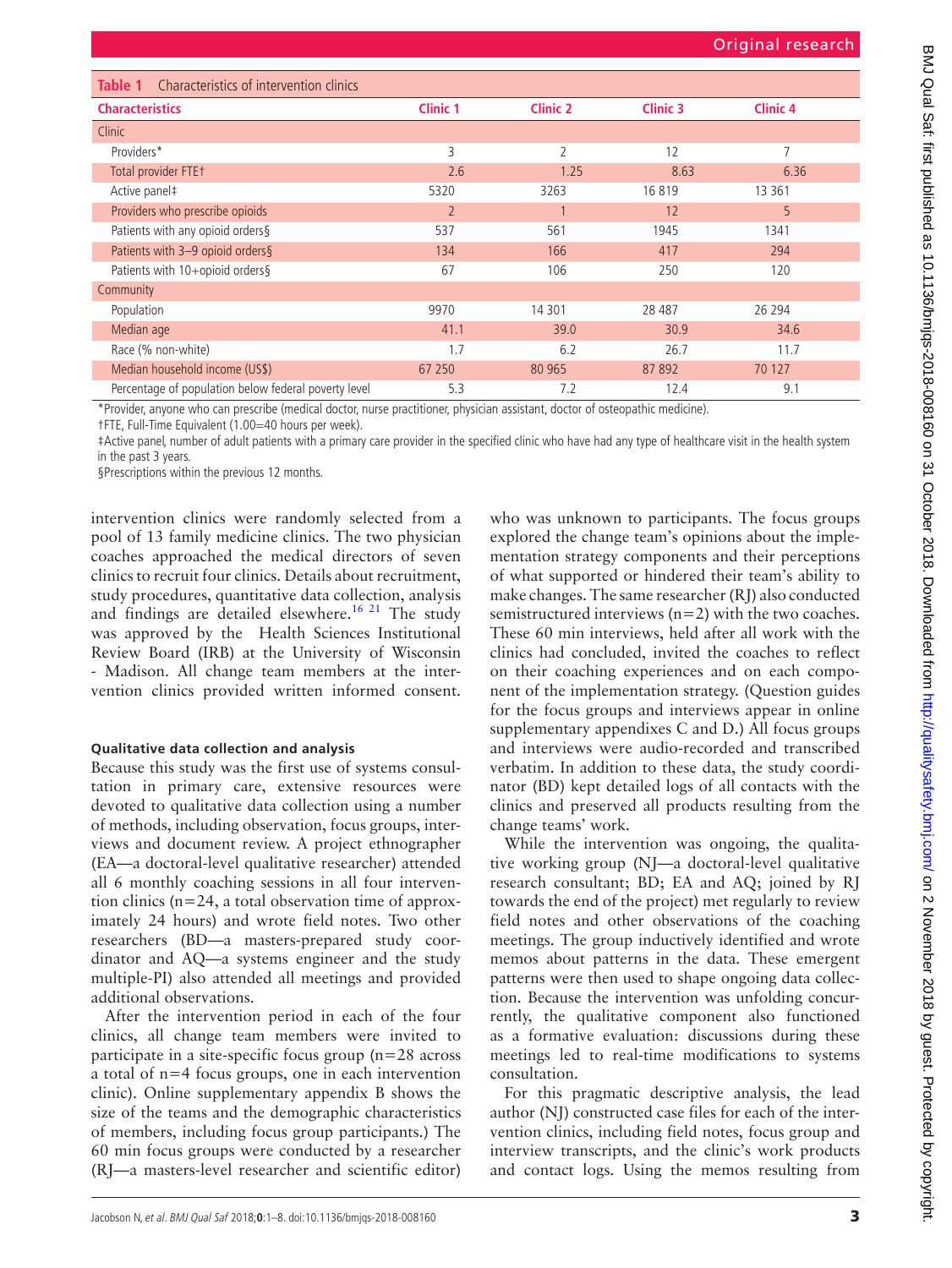<span id="page-2-0"></span>

| Characteristics of intervention clinics<br>Table 1   |                 |                 |                 |                 |
|------------------------------------------------------|-----------------|-----------------|-----------------|-----------------|
| <b>Characteristics</b>                               | <b>Clinic 1</b> | <b>Clinic 2</b> | <b>Clinic 3</b> | <b>Clinic 4</b> |
| <b>Clinic</b>                                        |                 |                 |                 |                 |
| Providers*                                           | 3               | 2               | 12              |                 |
| Total provider FTE+                                  | 2.6             | 1.25            | 8.63            | 6.36            |
| Active panel#                                        | 5320            | 3263            | 16819           | 13 3 61         |
| Providers who prescribe opioids                      | $\overline{2}$  | 1               | 12              | 5               |
| Patients with any opioid orders§                     | 537             | 561             | 1945            | 1341            |
| Patients with 3-9 opioid orders§                     | 134             | 166             | 417             | 294             |
| Patients with 10+opioid orders§                      | 67              | 106             | 250             | 120             |
| Community                                            |                 |                 |                 |                 |
| Population                                           | 9970            | 14 301          | 28 4 8 7        | 26 294          |
| Median age                                           | 41.1            | 39.0            | 30.9            | 34.6            |
| Race (% non-white)                                   | 1.7             | 6.2             | 26.7            | 11.7            |
| Median household income (US\$)                       | 67 250          | 80 965          | 87892           | 70 127          |
| Percentage of population below federal poverty level | 5.3             | 7.2             | 12.4            | 9.1             |

\*Provider, anyone who can prescribe (medical doctor, nurse practitioner, physician assistant, doctor of osteopathic medicine).

†FTE, Full-Time Equivalent (1.00=40 hours per week).

‡Active panel, number of adult patients with a primary care provider in the specified clinic who have had any type of healthcare visit in the health system in the past 3 years.

§Prescriptions within the previous 12 months.

intervention clinics were randomly selected from a pool of 13 family medicine clinics. The two physician coaches approached the medical directors of seven clinics to recruit four clinics. Details about recruitment, study procedures, quantitative data collection, analysis and findings are detailed elsewhere.<sup>16 21</sup> The study was approved by the Health Sciences Institutional Review Board (IRB) at the University of Wisconsin - Madison. All change team members at the intervention clinics provided written informed consent.

#### **Qualitative data collection and analysis**

Because this study was the first use of systems consultation in primary care, extensive resources were devoted to qualitative data collection using a number of methods, including observation, focus groups, interviews and document review. A project ethnographer (EA—a doctoral-level qualitative researcher) attended all 6 monthly coaching sessions in all four intervention clinics ( $n=24$ , a total observation time of approximately 24 hours) and wrote field notes. Two other researchers (BD—a masters-prepared study coordinator and AQ—a systems engineer and the study multiple-PI) also attended all meetings and provided additional observations.

After the intervention period in each of the four clinics, all change team members were invited to participate in a site-specific focus group (n=28 across a total of n=4 focus groups, one in each intervention clinic). [Online supplementary appendix B](https://dx.doi.org/10.1136/bmjqs-2018-008160) shows the size of the teams and the demographic characteristics of members, including focus group participants.) The 60 min focus groups were conducted by a researcher (RJ—a masters-level researcher and scientific editor)

who was unknown to participants. The focus groups explored the change team's opinions about the implementation strategy components and their perceptions of what supported or hindered their team's ability to make changes. The same researcher (RJ) also conducted semistructured interviews  $(n=2)$  with the two coaches. These 60 min interviews, held after all work with the clinics had concluded, invited the coaches to reflect on their coaching experiences and on each component of the implementation strategy. (Question guides for the focus groups and interviews appear in [online](https://dx.doi.org/10.1136/bmjqs-2018-008160) [supplementary appendixes C and D.](https://dx.doi.org/10.1136/bmjqs-2018-008160)) All focus groups and interviews were audio-recorded and transcribed verbatim. In addition to these data, the study coordinator (BD) kept detailed logs of all contacts with the clinics and preserved all products resulting from the change teams' work.

While the intervention was ongoing, the qualitative working group (NJ—a doctoral-level qualitative research consultant; BD; EA and AQ; joined by RJ towards the end of the project) met regularly to review field notes and other observations of the coaching meetings. The group inductively identified and wrote memos about patterns in the data. These emergent patterns were then used to shape ongoing data collection. Because the intervention was unfolding concurrently, the qualitative component also functioned as a formative evaluation: discussions during these meetings led to real-time modifications to systems consultation.

For this pragmatic descriptive analysis, the lead author (NJ) constructed case files for each of the intervention clinics, including field notes, focus group and interview transcripts, and the clinic's work products and contact logs. Using the memos resulting from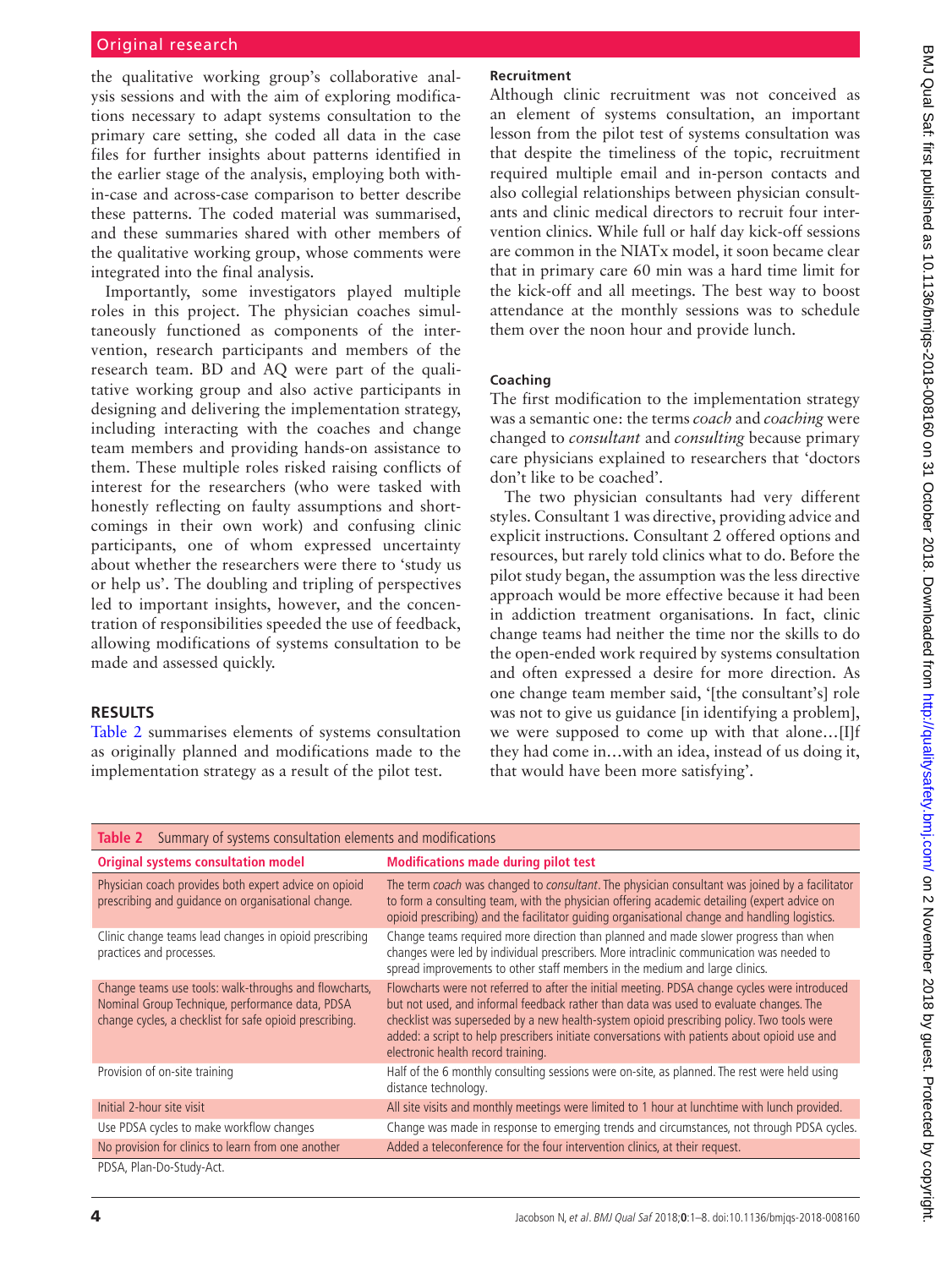# Original research

the qualitative working group's collaborative analysis sessions and with the aim of exploring modifications necessary to adapt systems consultation to the primary care setting, she coded all data in the case files for further insights about patterns identified in the earlier stage of the analysis, employing both within-case and across-case comparison to better describe these patterns. The coded material was summarised, and these summaries shared with other members of the qualitative working group, whose comments were integrated into the final analysis.

Importantly, some investigators played multiple roles in this project. The physician coaches simultaneously functioned as components of the intervention, research participants and members of the research team. BD and AQ were part of the qualitative working group and also active participants in designing and delivering the implementation strategy, including interacting with the coaches and change team members and providing hands-on assistance to them. These multiple roles risked raising conflicts of interest for the researchers (who were tasked with honestly reflecting on faulty assumptions and shortcomings in their own work) and confusing clinic participants, one of whom expressed uncertainty about whether the researchers were there to 'study us or help us'. The doubling and tripling of perspectives led to important insights, however, and the concentration of responsibilities speeded the use of feedback, allowing modifications of systems consultation to be made and assessed quickly.

### **Results**

[Table](#page-3-0) 2 summarises elements of systems consultation as originally planned and modifications made to the implementation strategy as a result of the pilot test.

## **Recruitment**

Although clinic recruitment was not conceived as an element of systems consultation, an important lesson from the pilot test of systems consultation was that despite the timeliness of the topic, recruitment required multiple email and in-person contacts and also collegial relationships between physician consultants and clinic medical directors to recruit four intervention clinics. While full or half day kick-off sessions are common in the NIATx model, it soon became clear that in primary care 60 min was a hard time limit for the kick-off and all meetings. The best way to boost attendance at the monthly sessions was to schedule them over the noon hour and provide lunch.

## **Coaching**

The first modification to the implementation strategy was a semantic one: the terms *coach* and *coaching* were changed to *consultant* and *consulting* because primary care physicians explained to researchers that 'doctors don't like to be coached'.

The two physician consultants had very different styles. Consultant 1 was directive, providing advice and explicit instructions. Consultant 2 offered options and resources, but rarely told clinics what to do. Before the pilot study began, the assumption was the less directive approach would be more effective because it had been in addiction treatment organisations. In fact, clinic change teams had neither the time nor the skills to do the open-ended work required by systems consultation and often expressed a desire for more direction. As one change team member said, '[the consultant's] role was not to give us guidance [in identifying a problem], we were supposed to come up with that alone…[I]f they had come in…with an idea, instead of us doing it, that would have been more satisfying'.

<span id="page-3-0"></span>

| Summary of systems consultation elements and modifications<br>Table 2                                                                                               |                                                                                                                                                                                                                                                                                                                                                                                                                             |  |  |
|---------------------------------------------------------------------------------------------------------------------------------------------------------------------|-----------------------------------------------------------------------------------------------------------------------------------------------------------------------------------------------------------------------------------------------------------------------------------------------------------------------------------------------------------------------------------------------------------------------------|--|--|
| <b>Original systems consultation model</b>                                                                                                                          | <b>Modifications made during pilot test</b>                                                                                                                                                                                                                                                                                                                                                                                 |  |  |
| Physician coach provides both expert advice on opioid<br>prescribing and quidance on organisational change.                                                         | The term coach was changed to consultant. The physician consultant was joined by a facilitator<br>to form a consulting team, with the physician offering academic detailing (expert advice on<br>opioid prescribing) and the facilitator guiding organisational change and handling logistics.                                                                                                                              |  |  |
| Clinic change teams lead changes in opioid prescribing<br>practices and processes.                                                                                  | Change teams required more direction than planned and made slower progress than when<br>changes were led by individual prescribers. More intraclinic communication was needed to<br>spread improvements to other staff members in the medium and large clinics.                                                                                                                                                             |  |  |
| Change teams use tools: walk-throughs and flowcharts,<br>Nominal Group Technique, performance data, PDSA<br>change cycles, a checklist for safe opioid prescribing. | Flowcharts were not referred to after the initial meeting. PDSA change cycles were introduced<br>but not used, and informal feedback rather than data was used to evaluate changes. The<br>checklist was superseded by a new health-system opioid prescribing policy. Two tools were<br>added: a script to help prescribers initiate conversations with patients about opioid use and<br>electronic health record training. |  |  |
| Provision of on-site training                                                                                                                                       | Half of the 6 monthly consulting sessions were on-site, as planned. The rest were held using<br>distance technology.                                                                                                                                                                                                                                                                                                        |  |  |
| Initial 2-hour site visit                                                                                                                                           | All site visits and monthly meetings were limited to 1 hour at lunchtime with lunch provided.                                                                                                                                                                                                                                                                                                                               |  |  |
| Use PDSA cycles to make workflow changes                                                                                                                            | Change was made in response to emerging trends and circumstances, not through PDSA cycles.                                                                                                                                                                                                                                                                                                                                  |  |  |
| No provision for clinics to learn from one another                                                                                                                  | Added a teleconference for the four intervention clinics, at their request.                                                                                                                                                                                                                                                                                                                                                 |  |  |
| PDSA, Plan-Do-Study-Act.                                                                                                                                            |                                                                                                                                                                                                                                                                                                                                                                                                                             |  |  |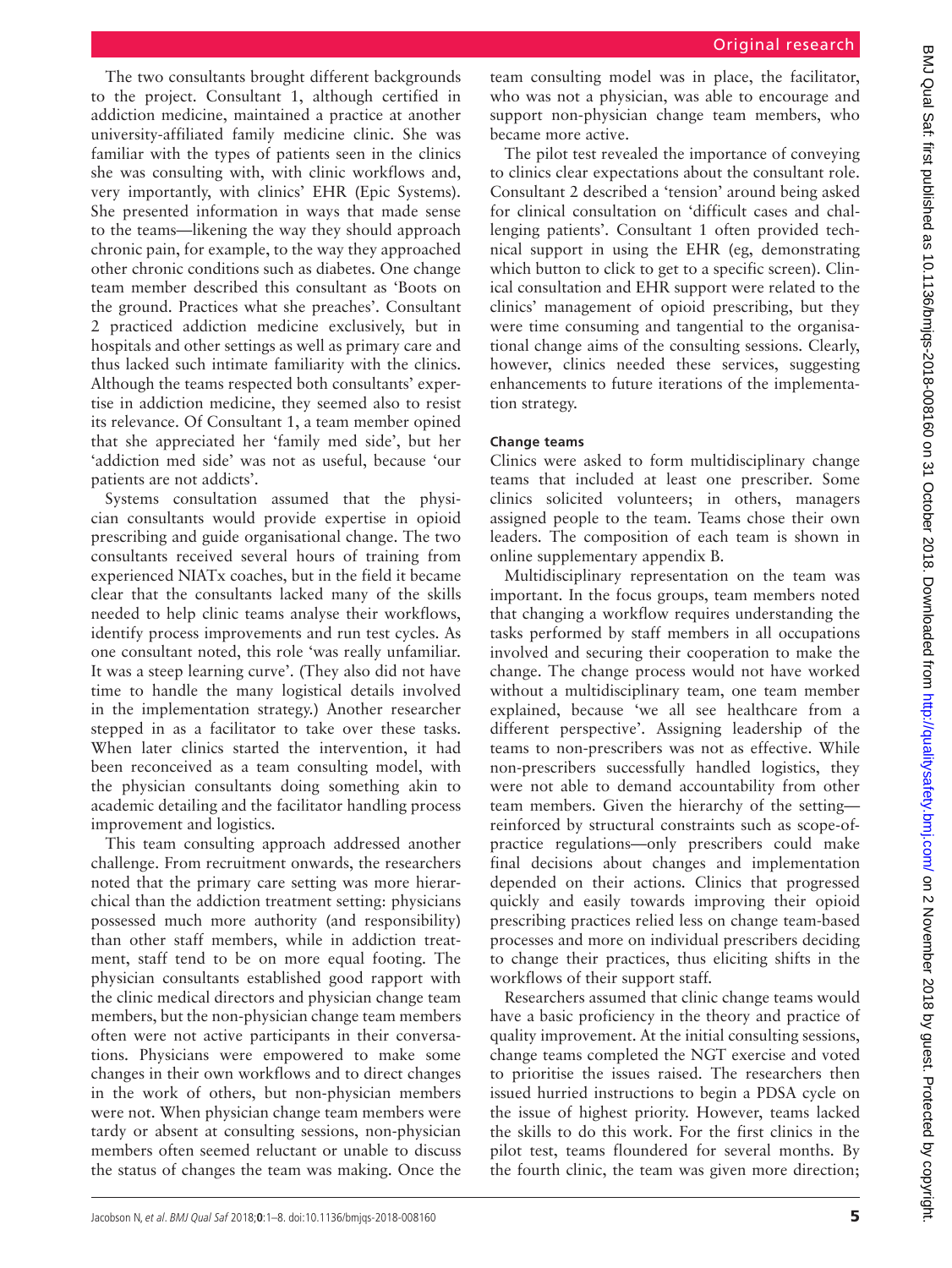The two consultants brought different backgrounds to the project. Consultant 1, although certified in addiction medicine, maintained a practice at another university-affiliated family medicine clinic. She was familiar with the types of patients seen in the clinics she was consulting with, with clinic workflows and, very importantly, with clinics' EHR (Epic Systems). She presented information in ways that made sense to the teams—likening the way they should approach chronic pain, for example, to the way they approached other chronic conditions such as diabetes. One change team member described this consultant as 'Boots on the ground. Practices what she preaches'. Consultant 2 practiced addiction medicine exclusively, but in hospitals and other settings as well as primary care and thus lacked such intimate familiarity with the clinics. Although the teams respected both consultants' expertise in addiction medicine, they seemed also to resist its relevance. Of Consultant 1, a team member opined that she appreciated her 'family med side', but her 'addiction med side' was not as useful, because 'our patients are not addicts'.

Systems consultation assumed that the physician consultants would provide expertise in opioid prescribing and guide organisational change. The two consultants received several hours of training from experienced NIATx coaches, but in the field it became clear that the consultants lacked many of the skills needed to help clinic teams analyse their workflows, identify process improvements and run test cycles. As one consultant noted, this role 'was really unfamiliar. It was a steep learning curve'. (They also did not have time to handle the many logistical details involved in the implementation strategy.) Another researcher stepped in as a facilitator to take over these tasks. When later clinics started the intervention, it had been reconceived as a team consulting model, with the physician consultants doing something akin to academic detailing and the facilitator handling process improvement and logistics.

This team consulting approach addressed another challenge. From recruitment onwards, the researchers noted that the primary care setting was more hierarchical than the addiction treatment setting: physicians possessed much more authority (and responsibility) than other staff members, while in addiction treatment, staff tend to be on more equal footing. The physician consultants established good rapport with the clinic medical directors and physician change team members, but the non-physician change team members often were not active participants in their conversations. Physicians were empowered to make some changes in their own workflows and to direct changes in the work of others, but non-physician members were not. When physician change team members were tardy or absent at consulting sessions, non-physician members often seemed reluctant or unable to discuss the status of changes the team was making. Once the team consulting model was in place, the facilitator, who was not a physician, was able to encourage and support non-physician change team members, who became more active.

The pilot test revealed the importance of conveying to clinics clear expectations about the consultant role. Consultant 2 described a 'tension' around being asked for clinical consultation on 'difficult cases and challenging patients'. Consultant 1 often provided technical support in using the EHR (eg, demonstrating which button to click to get to a specific screen). Clinical consultation and EHR support were related to the clinics' management of opioid prescribing, but they were time consuming and tangential to the organisational change aims of the consulting sessions. Clearly, however, clinics needed these services, suggesting enhancements to future iterations of the implementation strategy.

## **Change teams**

Clinics were asked to form multidisciplinary change teams that included at least one prescriber. Some clinics solicited volunteers; in others, managers assigned people to the team. Teams chose their own leaders. The composition of each team is shown in [online supplementary appendix B.](https://dx.doi.org/10.1136/bmjqs-2018-008160)

Multidisciplinary representation on the team was important. In the focus groups, team members noted that changing a workflow requires understanding the tasks performed by staff members in all occupations involved and securing their cooperation to make the change. The change process would not have worked without a multidisciplinary team, one team member explained, because 'we all see healthcare from a different perspective'. Assigning leadership of the teams to non-prescribers was not as effective. While non-prescribers successfully handled logistics, they were not able to demand accountability from other team members. Given the hierarchy of the setting reinforced by structural constraints such as scope-ofpractice regulations—only prescribers could make final decisions about changes and implementation depended on their actions. Clinics that progressed quickly and easily towards improving their opioid prescribing practices relied less on change team-based processes and more on individual prescribers deciding to change their practices, thus eliciting shifts in the workflows of their support staff.

Researchers assumed that clinic change teams would have a basic proficiency in the theory and practice of quality improvement. At the initial consulting sessions, change teams completed the NGT exercise and voted to prioritise the issues raised. The researchers then issued hurried instructions to begin a PDSA cycle on the issue of highest priority. However, teams lacked the skills to do this work. For the first clinics in the pilot test, teams floundered for several months. By the fourth clinic, the team was given more direction;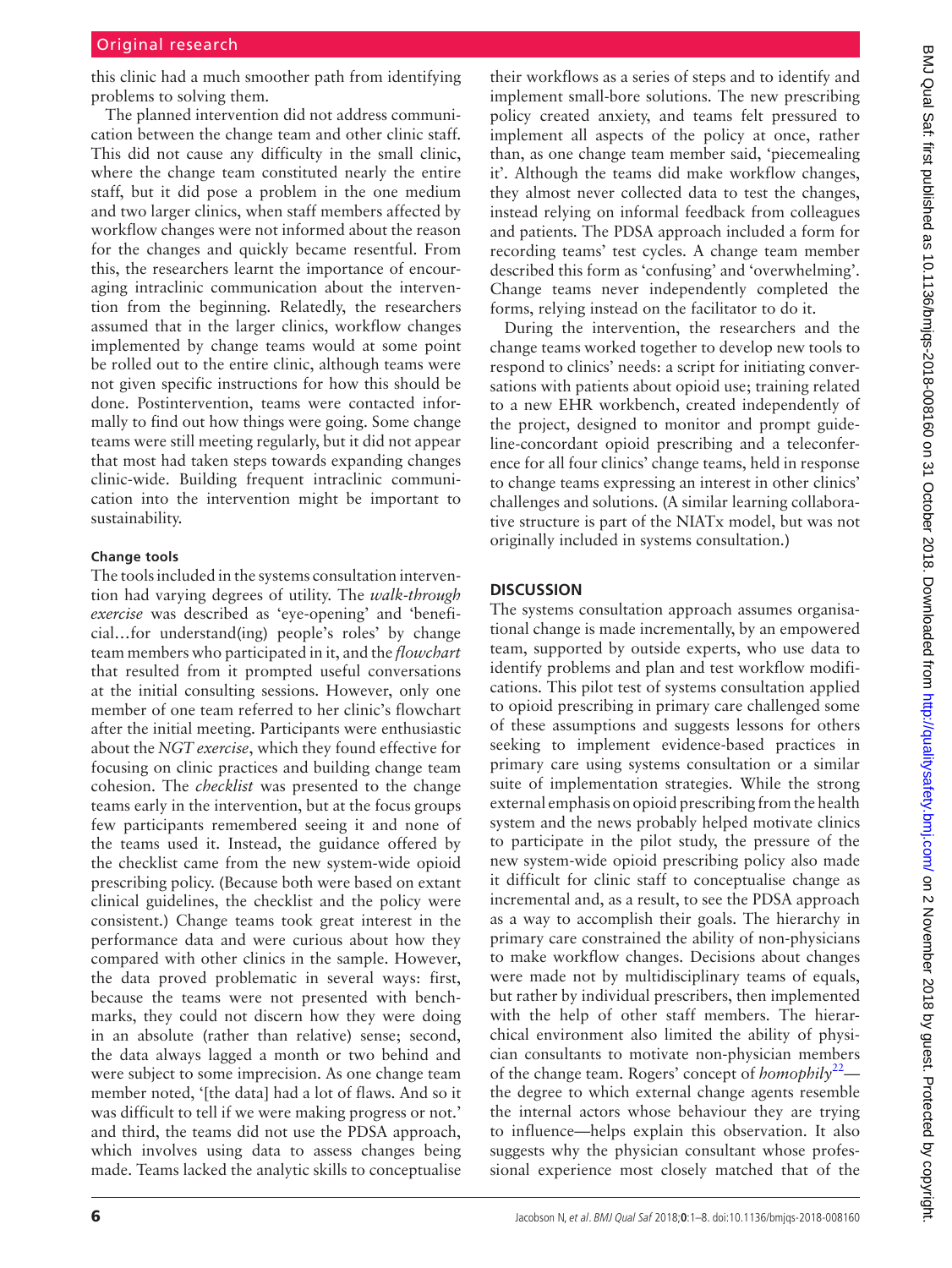this clinic had a much smoother path from identifying problems to solving them.

The planned intervention did not address communication between the change team and other clinic staff. This did not cause any difficulty in the small clinic, where the change team constituted nearly the entire staff, but it did pose a problem in the one medium and two larger clinics, when staff members affected by workflow changes were not informed about the reason for the changes and quickly became resentful. From this, the researchers learnt the importance of encouraging intraclinic communication about the intervention from the beginning. Relatedly, the researchers assumed that in the larger clinics, workflow changes implemented by change teams would at some point be rolled out to the entire clinic, although teams were not given specific instructions for how this should be done. Postintervention, teams were contacted informally to find out how things were going. Some change teams were still meeting regularly, but it did not appear that most had taken steps towards expanding changes clinic-wide. Building frequent intraclinic communication into the intervention might be important to sustainability.

## **Change tools**

The tools included in the systems consultation intervention had varying degrees of utility. The *walk-through exercise* was described as 'eye-opening' and 'beneficial…for understand(ing) people's roles' by change team members who participated in it, and the *flowchart* that resulted from it prompted useful conversations at the initial consulting sessions. However, only one member of one team referred to her clinic's flowchart after the initial meeting. Participants were enthusiastic about the *NGT exercise*, which they found effective for focusing on clinic practices and building change team cohesion. The *checklist* was presented to the change teams early in the intervention, but at the focus groups few participants remembered seeing it and none of the teams used it. Instead, the guidance offered by the checklist came from the new system-wide opioid prescribing policy. (Because both were based on extant clinical guidelines, the checklist and the policy were consistent.) Change teams took great interest in the performance data and were curious about how they compared with other clinics in the sample. However, the data proved problematic in several ways: first, because the teams were not presented with benchmarks, they could not discern how they were doing in an absolute (rather than relative) sense; second, the data always lagged a month or two behind and were subject to some imprecision. As one change team member noted, '[the data] had a lot of flaws. And so it was difficult to tell if we were making progress or not.' and third, the teams did not use the PDSA approach, which involves using data to assess changes being made. Teams lacked the analytic skills to conceptualise

their workflows as a series of steps and to identify and implement small-bore solutions. The new prescribing policy created anxiety, and teams felt pressured to implement all aspects of the policy at once, rather than, as one change team member said, 'piecemealing it'. Although the teams did make workflow changes, they almost never collected data to test the changes, instead relying on informal feedback from colleagues and patients. The PDSA approach included a form for recording teams' test cycles. A change team member described this form as 'confusing' and 'overwhelming'. Change teams never independently completed the forms, relying instead on the facilitator to do it.

During the intervention, the researchers and the change teams worked together to develop new tools to respond to clinics' needs: a script for initiating conversations with patients about opioid use; training related to a new EHR workbench, created independently of the project, designed to monitor and prompt guideline-concordant opioid prescribing and a teleconference for all four clinics' change teams, held in response to change teams expressing an interest in other clinics' challenges and solutions. (A similar learning collaborative structure is part of the NIATx model, but was not originally included in systems consultation.)

# **Discussion**

The systems consultation approach assumes organisational change is made incrementally, by an empowered team, supported by outside experts, who use data to identify problems and plan and test workflow modifications. This pilot test of systems consultation applied to opioid prescribing in primary care challenged some of these assumptions and suggests lessons for others seeking to implement evidence-based practices in primary care using systems consultation or a similar suite of implementation strategies. While the strong external emphasis on opioid prescribing from the health system and the news probably helped motivate clinics to participate in the pilot study, the pressure of the new system-wide opioid prescribing policy also made it difficult for clinic staff to conceptualise change as incremental and, as a result, to see the PDSA approach as a way to accomplish their goals. The hierarchy in primary care constrained the ability of non-physicians to make workflow changes. Decisions about changes were made not by multidisciplinary teams of equals, but rather by individual prescribers, then implemented with the help of other staff members. The hierarchical environment also limited the ability of physician consultants to motivate non-physician members of the change team. Rogers' concept of *homophily*<sup>[22](#page-7-8)</sup> the degree to which external change agents resemble the internal actors whose behaviour they are trying to influence—helps explain this observation. It also suggests why the physician consultant whose professional experience most closely matched that of the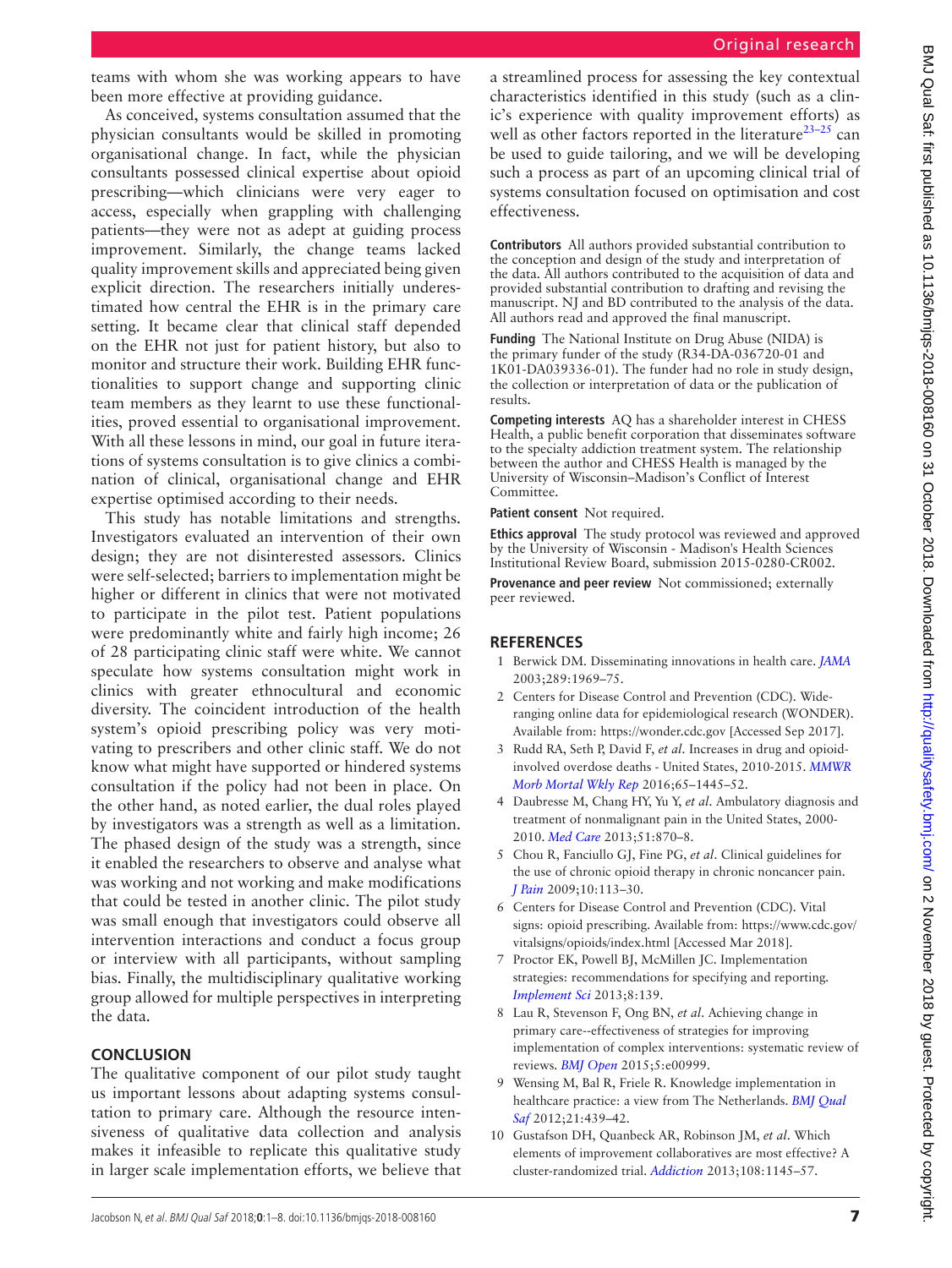teams with whom she was working appears to have been more effective at providing guidance.

As conceived, systems consultation assumed that the physician consultants would be skilled in promoting organisational change. In fact, while the physician consultants possessed clinical expertise about opioid prescribing—which clinicians were very eager to access, especially when grappling with challenging patients—they were not as adept at guiding process improvement. Similarly, the change teams lacked quality improvement skills and appreciated being given explicit direction. The researchers initially underestimated how central the EHR is in the primary care setting. It became clear that clinical staff depended on the EHR not just for patient history, but also to monitor and structure their work. Building EHR functionalities to support change and supporting clinic team members as they learnt to use these functionalities, proved essential to organisational improvement. With all these lessons in mind, our goal in future iterations of systems consultation is to give clinics a combination of clinical, organisational change and EHR expertise optimised according to their needs.

This study has notable limitations and strengths. Investigators evaluated an intervention of their own design; they are not disinterested assessors. Clinics were self-selected; barriers to implementation might be higher or different in clinics that were not motivated to participate in the pilot test. Patient populations were predominantly white and fairly high income; 26 of 28 participating clinic staff were white. We cannot speculate how systems consultation might work in clinics with greater ethnocultural and economic diversity. The coincident introduction of the health system's opioid prescribing policy was very motivating to prescribers and other clinic staff. We do not know what might have supported or hindered systems consultation if the policy had not been in place. On the other hand, as noted earlier, the dual roles played by investigators was a strength as well as a limitation. The phased design of the study was a strength, since it enabled the researchers to observe and analyse what was working and not working and make modifications that could be tested in another clinic. The pilot study was small enough that investigators could observe all intervention interactions and conduct a focus group or interview with all participants, without sampling bias. Finally, the multidisciplinary qualitative working group allowed for multiple perspectives in interpreting the data.

## **Conclusion**

The qualitative component of our pilot study taught us important lessons about adapting systems consultation to primary care. Although the resource intensiveness of qualitative data collection and analysis makes it infeasible to replicate this qualitative study in larger scale implementation efforts, we believe that a streamlined process for assessing the key contextual characteristics identified in this study (such as a clinic's experience with quality improvement efforts) as well as other factors reported in the literature $23-25$  can be used to guide tailoring, and we will be developing such a process as part of an upcoming clinical trial of systems consultation focused on optimisation and cost effectiveness.

**Contributors** All authors provided substantial contribution to the conception and design of the study and interpretation of the data. All authors contributed to the acquisition of data and provided substantial contribution to drafting and revising the manuscript. NJ and BD contributed to the analysis of the data. All authors read and approved the final manuscript.

**Funding** The National Institute on Drug Abuse (NIDA) is the primary funder of the study (R34-DA-036720-01 and 1K01-DA039336-01). The funder had no role in study design, the collection or interpretation of data or the publication of results.

**Competing interests** AQ has a shareholder interest in CHESS Health, a public benefit corporation that disseminates software to the specialty addiction treatment system. The relationship between the author and CHESS Health is managed by the University of Wisconsin–Madison's Conflict of Interest Committee.

**Patient consent** Not required.

**Ethics approval** The study protocol was reviewed and approved by the University of Wisconsin - Madison's Health Sciences Institutional Review Board, submission 2015-0280-CR002.

**Provenance and peer review** Not commissioned; externally peer reviewed.

## **References**

- <span id="page-6-0"></span>1 Berwick DM. Disseminating innovations in health care. *[JAMA](http://dx.doi.org/10.1001/jama.289.15.1969)* 2003;289:1969–75.
- <span id="page-6-1"></span>2 Centers for Disease Control and Prevention (CDC). Wideranging online data for epidemiological research (WONDER). Available from: <https://wonder.cdc.gov> [Accessed Sep 2017].
- <span id="page-6-2"></span>3 Rudd RA, Seth P, David F, *et al*. Increases in drug and opioidinvolved overdose deaths - United States, 2010-2015. *[MMWR](http://dx.doi.org/10.15585/mmwr.mm655051e1)  [Morb Mortal Wkly Rep](http://dx.doi.org/10.15585/mmwr.mm655051e1)* 2016;65–1445–52.
- <span id="page-6-3"></span>4 Daubresse M, Chang HY, Yu Y, *et al*. Ambulatory diagnosis and treatment of nonmalignant pain in the United States, 2000- 2010. *[Med Care](http://dx.doi.org/10.1097/MLR.0b013e3182a95d86)* 2013;51:870–8.
- <span id="page-6-4"></span>5 Chou R, Fanciullo GJ, Fine PG, *et al*. Clinical guidelines for the use of chronic opioid therapy in chronic noncancer pain. *[J Pain](http://dx.doi.org/10.1016/j.jpain.2008.10.008)* 2009;10:113–30.
- <span id="page-6-5"></span>6 Centers for Disease Control and Prevention (CDC). Vital signs: opioid prescribing. Available from: [https://www.cdc.gov/](https://www.cdc.gov/vitalsigns/opioids/index.html) [vitalsigns/opioids/index.html](https://www.cdc.gov/vitalsigns/opioids/index.html) [Accessed Mar 2018].
- <span id="page-6-6"></span>7 Proctor EK, Powell BJ, McMillen JC. Implementation strategies: recommendations for specifying and reporting. *[Implement Sci](http://dx.doi.org/10.1186/1748-5908-8-139)* 2013;8:139.
- <span id="page-6-7"></span>8 Lau R, Stevenson F, Ong BN, *et al*. Achieving change in primary care--effectiveness of strategies for improving implementation of complex interventions: systematic review of reviews. *[BMJ Open](http://dx.doi.org/10.1136/bmjopen-2015-009993)* 2015;5:e00999.
- 9 Wensing M, Bal R, Friele R. Knowledge implementation in healthcare practice: a view from The Netherlands. *[BMJ Qual](http://dx.doi.org/10.1136/bmjqs-2011-000540)  [Saf](http://dx.doi.org/10.1136/bmjqs-2011-000540)* 2012;21:439–42.
- <span id="page-6-8"></span>10 Gustafson DH, Quanbeck AR, Robinson JM, *et al*. Which elements of improvement collaboratives are most effective? A cluster-randomized trial. *[Addiction](http://dx.doi.org/10.1111/add.12117)* 2013;108:1145–57.